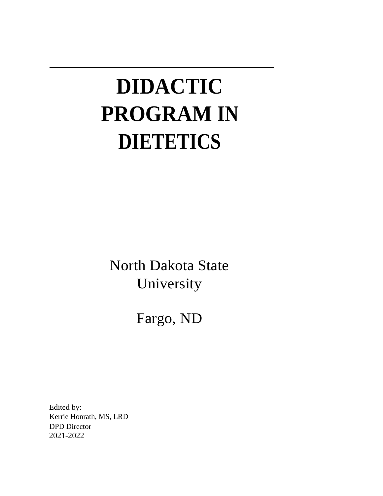# **DIDACTIC PROGRAM IN DIETETICS**

North Dakota State University

Fargo, ND

Edited by: Kerrie Honrath, MS, LRD DPD Director 2021-2022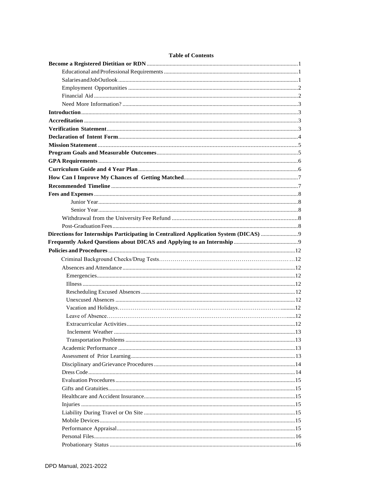# **Table of Contents**

| Directions for Internships Participating in Centralized Application System (DICAS) |  |
|------------------------------------------------------------------------------------|--|
|                                                                                    |  |
|                                                                                    |  |
|                                                                                    |  |
|                                                                                    |  |
|                                                                                    |  |
|                                                                                    |  |
|                                                                                    |  |
|                                                                                    |  |
|                                                                                    |  |
|                                                                                    |  |
|                                                                                    |  |
|                                                                                    |  |
|                                                                                    |  |
|                                                                                    |  |
|                                                                                    |  |
|                                                                                    |  |
|                                                                                    |  |
|                                                                                    |  |
|                                                                                    |  |
|                                                                                    |  |
|                                                                                    |  |
|                                                                                    |  |
|                                                                                    |  |
|                                                                                    |  |
|                                                                                    |  |
|                                                                                    |  |
|                                                                                    |  |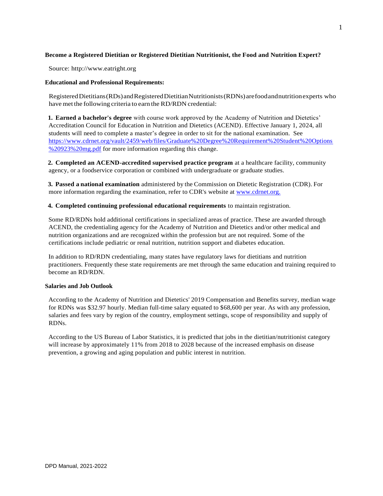# **Become a Registered Dietitian or Registered Dietitian Nutritionist, the Food and Nutrition Expert?**

Source: [http://www.eatright.org](http://www.eatright.org/)

# **Educational and Professional Requirements:**

RegisteredDietitians(RDs)andRegisteredDietitianNutritionists(RDNs)arefoodandnutritionexperts who have met the following criteria to earn the RD/RDN credential:

**1. Earned a bachelor's degree** with course work approved by the Academy of Nutrition and Dietetics' Accreditation Council for Education in Nutrition and Dietetics (ACEND). Effective January 1, 2024, all students will need to complete a master's degree in order to sit for the national examination. See [https://www.cdrnet.org/vault/2459/web/files/Graduate%20Degree%20Requirement%20Student%20Options](https://www.cdrnet.org/vault/2459/web/files/Graduate%20Degree%20Requirement%20Student%20Options%20923%20mg.pdf) [%20923%20mg.pdf](https://www.cdrnet.org/vault/2459/web/files/Graduate%20Degree%20Requirement%20Student%20Options%20923%20mg.pdf) for more information regarding this change.

**2. Completed an ACEND-accredited supervised practice program** at a healthcare facility, community agency, or a foodservice corporation or combined with undergraduate or graduate studies.

**3. Passed a national examination** administered by the Commission on Dietetic Registration (CDR). For more information regarding the examination, refer to CDR's website at [www.cdrnet.org.](http://www.cdrnet.org./)

# **4. Completed continuing professional educational requirements** to maintain registration.

Some RD/RDNs hold additional certifications in specialized areas of practice. These are awarded through ACEND, the credentialing agency for the Academy of Nutrition and Dietetics and/or other medical and nutrition organizations and are recognized within the profession but are not required. Some of the certifications include pediatric or renal nutrition, nutrition support and diabetes education.

In addition to RD/RDN credentialing, many states have regulatory laws for dietitians and nutrition practitioners. Frequently these state requirements are met through the same education and training required to become an RD/RDN.

# **Salaries and Job Outlook**

According to the Academy of Nutrition and Dietetics' 2019 Compensation and Benefits survey, median wage for RDNs was \$32.97 hourly. Median full-time salary equated to \$68,600 per year. As with any profession, salaries and fees vary by region of the country, employment settings, scope of responsibility and supply of RDNs.

According to the US Bureau of Labor Statistics, it is predicted that jobs in the dietitian/nutritionist category will increase by approximately 11% from 2018 to 2028 because of the increased emphasis on disease prevention, a growing and aging population and public interest in nutrition.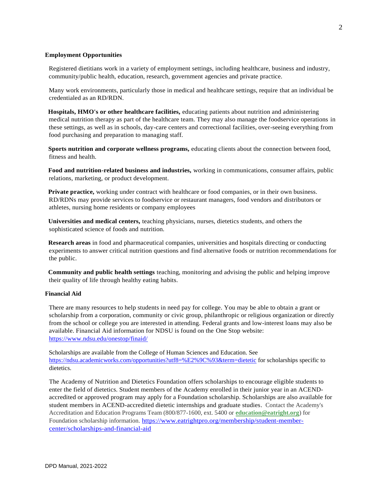## **Employment Opportunities**

Registered dietitians work in a variety of employment settings, including healthcare, business and industry, community/public health, education, research, government agencies and private practice.

Many work environments, particularly those in medical and healthcare settings, require that an individual be credentialed as an RD/RDN.

**Hospitals, HMO's or other healthcare facilities,** educating patients about nutrition and administering medical nutrition therapy as part of the healthcare team. They may also manage the foodservice operations in these settings, as well as in schools, day-care centers and correctional facilities, over-seeing everything from food purchasing and preparation to managing staff.

**Sports nutrition and corporate wellness programs,** educating clients about the connection between food, fitness and health.

**Food and nutrition-related business and industries,** working in communications, consumer affairs, public relations, marketing, or product development.

**Private practice,** working under contract with healthcare or food companies, or in their own business. RD/RDNs may provide services to foodservice or restaurant managers, food vendors and distributors or athletes, nursing home residents or company employees

**Universities and medical centers,** teaching physicians, nurses, dietetics students, and others the sophisticated science of foods and nutrition.

**Research areas** in food and pharmaceutical companies, universities and hospitals directing or conducting experiments to answer critical nutrition questions and find alternative foods or nutrition recommendations for the public.

**Community and public health settings** teaching, monitoring and advising the public and helping improve their quality of life through healthy eating habits.

## **Financial Aid**

There are many resources to help students in need pay for college. You may be able to obtain a grant or scholarship from a corporation, community or civic group, philanthropic or religious organization or directly from the school or college you are interested in attending. Federal grants and low-interest loans may also be available. Financial Aid information for NDSU is found on the One Stop website: <https://www.ndsu.edu/onestop/finaid/>

Scholarships are available from the College of Human Sciences and Education. See <https://ndsu.academicworks.com/opportunities?utf8=%E2%9C%93&term=dietetic> for scholarships specific to dietetics.

The Academy of Nutrition and Dietetics Foundation offers scholarships to encourage eligible students to enter the field of dietetics. Student members of the Academy enrolled in their junior year in an ACENDaccredited or approved program may apply for a Foundation scholarship. Scholarships are also available for student members in ACEND-accredited dietetic internships and graduate studies. Contact the Academy's Accreditation and Education Programs Team (800/877-1600, ext. 5400 or **[education@eatright.org](mailto:education@eatright.org)**) for Foundation scholarship information. [https://www.eatrightpro.org/membership/student-member](https://www.eatrightpro.org/membership/student-member-center/scholarships-and-financial-aid)[center/scholarships-and-financial-aid](https://www.eatrightpro.org/membership/student-member-center/scholarships-and-financial-aid)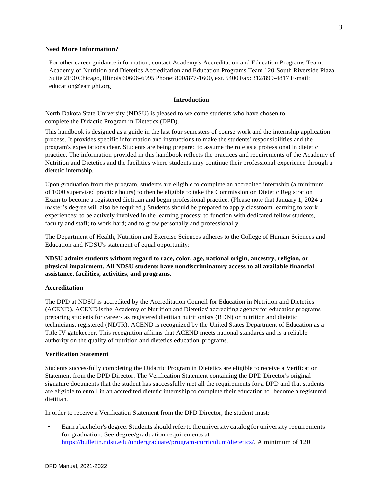## **Need More Information?**

For other career guidance information, contact Academy's Accreditation and Education Programs Team: Academy of Nutrition and Dietetics Accreditation and Education Programs Team 120 South Riverside Plaza, Suite 2190Chicago, Illinois 60606-6995 Phone: 800/877-1600, ext. 5400 Fax: 312/899-4817 E-mail: [education@eatright.org](mailto:education@eatright.org)

# **Introduction**

North Dakota State University (NDSU) is pleased to welcome students who have chosen to complete the Didactic Program in Dietetics (DPD).

This handbook is designed as a guide in the last four semesters of course work and the internship application process. It provides specific information and instructions to make the students' responsibilities and the program's expectations clear. Students are being prepared to assume the role as a professional in dietetic practice. The information provided in this handbook reflects the practices and requirements of the Academy of Nutrition and Dietetics and the facilities where students may continue their professional experience through a dietetic internship.

Upon graduation from the program, students are eligible to complete an accredited internship (a minimum of 1000 supervised practice hours) to then be eligible to take the Commission on Dietetic Registration Exam to become a registered dietitian and begin professional practice. (Please note that January 1, 2024 a master's degree will also be required.) Students should be prepared to apply classroom learning to work experiences; to be actively involved in the learning process; to function with dedicated fellow students, faculty and staff; to work hard; and to grow personally and professionally.

The Department of Health, Nutrition and Exercise Sciences adheres to the College of Human Sciences and Education and NDSU's statement of equal opportunity:

**NDSU admits students without regard to race, color, age, national origin, ancestry, religion, or physical impairment. All NDSU students have nondiscriminatory access to all available financial assistance, facilities, activities, and programs.**

## **Accreditation**

The DPD at NDSU is accredited by the Accreditation Council for Education in Nutrition and Dietetics (ACEND). ACEND isthe Academy of Nutrition and Dietetics' accrediting agency for education programs preparing students for careers as registered dietitian nutritionists (RDN) or nutrition and dietetic technicians, registered (NDTR). ACEND is recognized by the United States Department of Education as a Title IV gatekeeper. This recognition affirms that ACEND meets national standards and is a reliable authority on the quality of nutrition and dietetics education programs.

## **Verification Statement**

Students successfully completing the Didactic Program in Dietetics are eligible to receive a Verification Statement from the DPD Director. The Verification Statement containing the DPD Director's original signature documents that the student has successfully met all the requirements for a DPD and that students are eligible to enroll in an accredited dietetic internship to complete their education to become a registered dietitian.

In order to receive a Verification Statement from the DPD Director, the student must:

• Earnabachelor's degree.Studentsshould referto theuniversity catalogfor university requirements for graduation. See degree/graduation requirements at [https://bulletin.ndsu.edu/undergraduate/program-curriculum/dietetics/.](https://bulletin.ndsu.edu/undergraduate/program-curriculum/dietetics/) A minimum of 120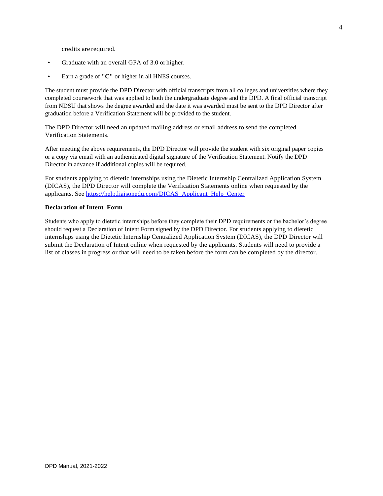credits are required.

- Graduate with an overall GPA of 3.0 or higher.
- Earn a grade of "C" or higher in all HNES courses.

The student must provide the DPD Director with official transcripts from all colleges and universities where they completed coursework that was applied to both the undergraduate degree and the DPD. A final official transcript from NDSU that shows the degree awarded and the date it was awarded must be sent to the DPD Director after graduation before a Verification Statement will be provided to the student.

The DPD Director will need an updated mailing address or email address to send the completed Verification Statements.

After meeting the above requirements, the DPD Director will provide the student with six original paper copies or a copy via email with an authenticated digital signature of the Verification Statement. Notify the DPD Director in advance if additional copies will be required.

For students applying to dietetic internships using the Dietetic Internship Centralized Application System (DICAS), the DPD Director will complete the Verification Statements online when requested by the applicants. See [https://help.liaisonedu.com/DICAS\\_Applicant\\_Help\\_Center](https://help.liaisonedu.com/DICAS_Applicant_Help_Center)

#### **Declaration of Intent Form**

Students who apply to dietetic internships before they complete their DPD requirements or the bachelor's degree should request a Declaration of Intent Form signed by the DPD Director. For students applying to dietetic internships using the Dietetic Internship Centralized Application System (DICAS), the DPD Director will submit the Declaration of Intent online when requested by the applicants. Students will need to provide a list of classes in progress or that will need to be taken before the form can be completed by the director.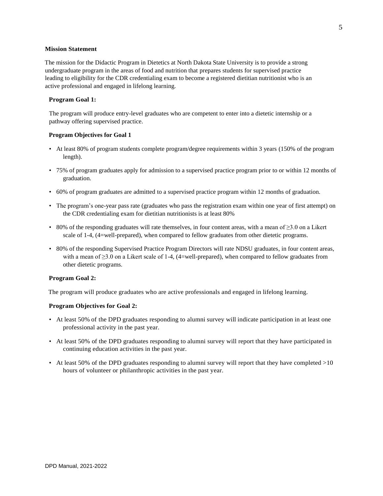# **Mission Statement**

The mission for the Didactic Program in Dietetics at North Dakota State University is to provide a strong undergraduate program in the areas of food and nutrition that prepares students for supervised practice leading to eligibility for the CDR credentialing exam to become a registered dietitian nutritionist who is an active professional and engaged in lifelong learning.

# **Program Goal 1:**

The program will produce entry-level graduates who are competent to enter into a dietetic internship or a pathway offering supervised practice.

## **Program Objectives for Goal 1**

- At least 80% of program students complete program/degree requirements within 3 years (150% of the program length).
- 75% of program graduates apply for admission to a supervised practice program prior to or within 12 months of graduation.
- 60% of program graduates are admitted to a supervised practice program within 12 months of graduation.
- The program's one-year pass rate (graduates who pass the registration exam within one year of first attempt) on the CDR credentialing exam for dietitian nutritionists is at least 80%
- 80% of the responding graduates will rate themselves, in four content areas, with a mean of ≥3.0 on a Likert scale of 1-4, (4=well-prepared), when compared to fellow graduates from other dietetic programs.
- 80% of the responding Supervised Practice Program Directors will rate NDSU graduates, in four content areas, with a mean of ≥3.0 on a Likert scale of 1-4, (4=well-prepared), when compared to fellow graduates from other dietetic programs.

# **Program Goal 2:**

The program will produce graduates who are active professionals and engaged in lifelong learning.

#### **Program Objectives for Goal 2:**

- At least 50% of the DPD graduates responding to alumni survey will indicate participation in at least one professional activity in the past year.
- At least 50% of the DPD graduates responding to alumni survey will report that they have participated in continuing education activities in the past year.
- At least 50% of the DPD graduates responding to alumni survey will report that they have completed >10 hours of volunteer or philanthropic activities in the past year.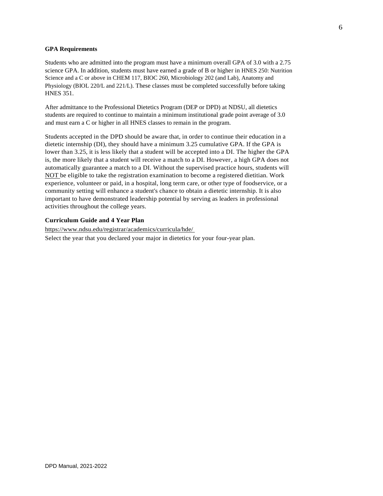#### **GPA Requirements**

Students who are admitted into the program must have a minimum overall GPA of 3.0 with a 2.75 science GPA. In addition, students must have earned a grade of B or higher in HNES 250: Nutrition Science and a C or above in CHEM 117, BIOC 260, Microbiology 202 (and Lab), Anatomy and Physiology (BIOL 220/L and 221/L). These classes must be completed successfully before taking HNES 351.

After admittance to the Professional Dietetics Program (DEP or DPD) at NDSU, all dietetics students are required to continue to maintain a minimum institutional grade point average of 3.0 and must earn a C or higher in all HNES classes to remain in the program.

Students accepted in the DPD should be aware that, in order to continue their education in a dietetic internship (DI), they should have a minimum 3.25 cumulative GPA. If the GPA is lower than 3.25, it is less likely that a student will be accepted into a DI. The higher the GPA is, the more likely that a student will receive a match to a DI. However, a high GPA does not automatically guarantee a match to a DI. Without the supervised practice hours, students will NOT be eligible to take the registration examination to become a registered dietitian. Work experience, volunteer or paid, in a hospital, long term care, or other type of foodservice, or a community setting will enhance a student's chance to obtain a dietetic internship. It is also important to have demonstrated leadership potential by serving as leaders in professional activities throughout the college years.

# **Curriculum Guide and 4 Year Plan**

[https://www.ndsu.edu/registrar/academics/curricula/hde/](http://www.ndsu.edu/registrar/academics/curricula/hde/) Select the year that you declared your major in dietetics for your four-year plan.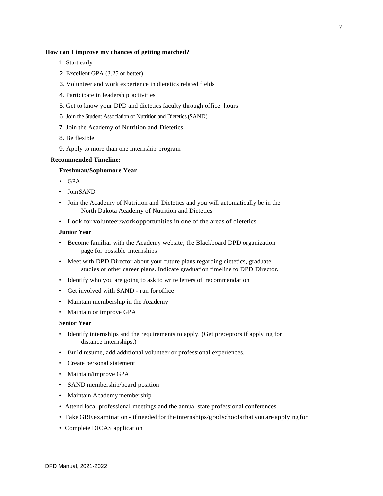## **How can I improve my chances of getting matched?**

- 1. Start early
- 2. Excellent GPA (3.25 or better)
- 3. Volunteer and work experience in dietetics related fields
- 4. Participate in leadership activities
- 5. Get to know your DPD and dietetics faculty through office hours
- 6. Join the Student Association of Nutrition and Dietetics (SAND)
- 7. Join the Academy of Nutrition and Dietetics
- 8. Be flexible
- 9. Apply to more than one internship program

## **Recommended Timeline:**

## **Freshman/Sophomore Year**

- GPA
- JoinSAND
- Join the Academy of Nutrition and Dietetics and you will automatically be in the North Dakota Academy of Nutrition and Dietetics
- Look for volunteer/workopportunities in one of the areas of dietetics

## **Junior Year**

- Become familiar with the Academy website; the Blackboard DPD organization page for possible internships
- Meet with DPD Director about your future plans regarding dietetics, graduate studies or other career plans. Indicate graduation timeline to DPD Director.
- Identify who you are going to ask to write letters of recommendation
- Get involved with SAND run for office
- Maintain membership in the Academy
- Maintain or improve GPA

# **Senior Year**

- Identify internships and the requirements to apply. (Get preceptors if applying for distance internships.)
- Build resume, add additional volunteer or professional experiences.
- Create personal statement
- Maintain/improve GPA
- SAND membership/board position
- Maintain Academy membership
- Attend local professional meetings and the annual state professional conferences
- TakeGREexamination if needed for the internships/gradschoolsthat you are applying for
- Complete DICAS application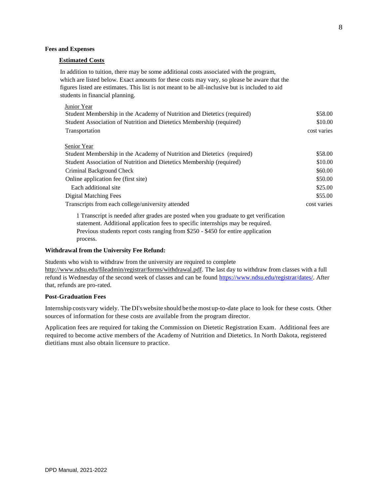## **Fees and Expenses**

# **Estimated Costs**

In addition to tuition, there may be some additional costs associated with the program, which are listed below. Exact amounts for these costs may vary, so please be aware that the figures listed are estimates. This list is not meant to be all-inclusive but is included to aid students in financial planning.

| Junior Year<br>Student Membership in the Academy of Nutrition and Dietetics (required)<br>Student Association of Nutrition and Dietetics Membership (required) | \$58.00<br>\$10.00 |
|----------------------------------------------------------------------------------------------------------------------------------------------------------------|--------------------|
| Transportation                                                                                                                                                 | cost varies        |
| Senior Year                                                                                                                                                    |                    |
| Student Membership in the Academy of Nutrition and Dietetics (required)                                                                                        | \$58.00            |
| Student Association of Nutrition and Dietetics Membership (required)                                                                                           | \$10.00            |
| Criminal Background Check                                                                                                                                      | \$60.00            |
| Online application fee (first site)                                                                                                                            | \$50.00            |
| Each additional site                                                                                                                                           | \$25.00            |
| Digital Matching Fees                                                                                                                                          | \$55.00            |
| Transcripts from each college/university attended                                                                                                              | cost varies        |
|                                                                                                                                                                |                    |

1 Transcript is needed after grades are posted when you graduate to get verification statement. Additional application fees to specific internships may be required. Previous students report costs ranging from \$250 - \$450 for entire application process.

## **Withdrawal from the University Fee Refund:**

Students who wish to withdraw from the university are required to complete [http://www.ndsu.edu/fileadmin/registrar/forms/withdrawal.pdf.](http://www.ndsu.edu/fileadmin/registrar/forms/withdrawal.pdf) The last day to withdraw from classes with a full refund is Wednesday of the second week of classes and can be found [https://www.ndsu.edu/registrar/dates/.](https://www.ndsu.edu/registrar/dates/) After that, refunds are pro-rated.

# **Post-Graduation Fees**

Internship costs vary widely. The DI'swebsite should be themost up-to-date place to look for these costs. Other sources of information for these costs are available from the program director.

Application fees are required for taking the Commission on Dietetic Registration Exam. Additional fees are required to become active members of the Academy of Nutrition and Dietetics. In North Dakota, registered dietitians must also obtain licensure to practice.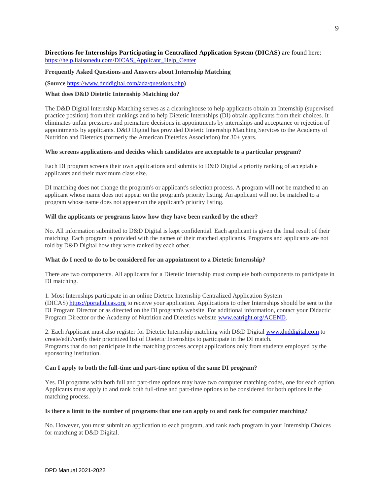# <span id="page-11-0"></span>**Directions for Internships Participating in Centralized Application System (DICAS)** are found here: [https://help.liaisonedu.com/DICAS\\_Applicant\\_Help\\_Center](https://help.liaisonedu.com/DICAS_Applicant_Help_Center)

# **Frequently Asked Questions and Answers about Internship Matching**

**(Source** <https://www.dnddigital.com/ada/questions.php>**)**

# **What does D&D Dietetic Internship Matching do?**

The D&D Digital Internship Matching serves as a clearinghouse to help applicants obtain an Internship (supervised practice position) from their rankings and to help Dietetic Internships (DI) obtain applicants from their choices. It eliminates unfair pressures and premature decisions in appointments by internships and acceptance or rejection of appointments by applicants. D&D Digital has provided Dietetic Internship Matching Services to the Academy of Nutrition and Dietetics (formerly the American Dietetics Association) for 30+ years.

# **Who screens applications and decides which candidates are acceptable to a particular program?**

Each DI program screens their own applications and submits to D&D Digital a priority ranking of acceptable applicants and their maximum class size.

DI matching does not change the program's or applicant's selection process. A program will not be matched to an applicant whose name does not appear on the program's priority listing. An applicant will not be matched to a program whose name does not appear on the applicant's priority listing.

# **Will the applicants or programs know how they have been ranked by the other?**

No. All information submitted to D&D Digital is kept confidential. Each applicant is given the final result of their matching. Each program is provided with the names of their matched applicants. Programs and applicants are not told by D&D Digital how they were ranked by each other.

# **What do I need to do to be considered for an appointment to a Dietetic Internship?**

There are two components. All applicants for a Dietetic Internship must complete both components to participate in DI matching.

1. Most Internships participate in an online Dietetic Internship Centralized Application System (DICAS) [https://portal.dicas.org](https://portal.dicas.org/) to receive your application. Applications to other Internships should be sent to the DI Program Director or as directed on the DI program's website. For additional information, contact your Didactic Program Director or the Academy of Nutrition and Dietetics website [www.eatright.org/ACEND.](http://www.eatright.org/ACEND)

2. Each Applicant must also register for Dietetic Internship matching with D&D Digital [www.dnddigital.com](http://www.dnddigital.com/) to create/edit/verify their prioritized list of Dietetic Internships to participate in the DI match. Programs that do not participate in the matching process accept applications only from students employed by the sponsoring institution.

# **Can I apply to both the full-time and part-time option of the same DI program?**

Yes. DI programs with both full and part-time options may have two computer matching codes, one for each option. Applicants must apply to and rank both full-time and part-time options to be considered for both options in the matching process.

# **Is there a limit to the number of programs that one can apply to and rank for computer matching?**

No. However, you must submit an application to each program, and rank each program in your Internship Choices for matching at D&D Digital.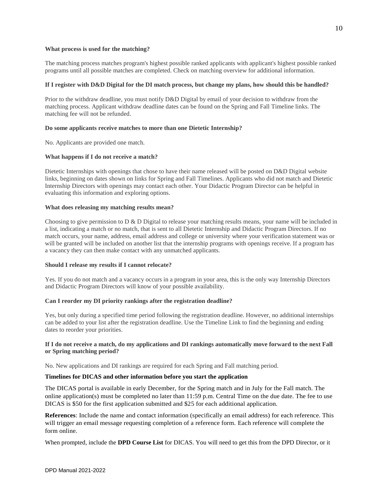# **What process is used for the matching?**

The matching process matches program's highest possible ranked applicants with applicant's highest possible ranked programs until all possible matches are completed. Check on matching overview for additional information.

# **If I register with D&D Digital for the DI match process, but change my plans, how should this be handled?**

Prior to the withdraw deadline, you must notify D&D Digital by email of your decision to withdraw from the matching process. Applicant withdraw deadline dates can be found on the Spring and Fall Timeline links. The matching fee will not be refunded.

# **Do some applicants receive matches to more than one Dietetic Internship?**

No. Applicants are provided one match.

# **What happens if I do not receive a match?**

Dietetic Internships with openings that chose to have their name released will be posted on D&D Digital website links, beginning on dates shown on links for Spring and Fall Timelines. Applicants who did not match and Dietetic Internship Directors with openings may contact each other. Your Didactic Program Director can be helpful in evaluating this information and exploring options.

# **What does releasing my matching results mean?**

Choosing to give permission to D & D Digital to release your matching results means, your name will be included in a list, indicating a match or no match, that is sent to all Dietetic Internship and Didactic Program Directors. If no match occurs, your name, address, email address and college or university where your verification statement was or will be granted will be included on another list that the internship programs with openings receive. If a program has a vacancy they can then make contact with any unmatched applicants.

# **Should I release my results if I cannot relocate?**

Yes. If you do not match and a vacancy occurs in a program in your area, this is the only way Internship Directors and Didactic Program Directors will know of your possible availability.

# **Can I reorder my DI priority rankings after the registration deadline?**

Yes, but only during a specified time period following the registration deadline. However, no additional internships can be added to your list after the registration deadline. Use the Timeline Link to find the beginning and ending dates to reorder your priorities.

# **If I do not receive a match, do my applications and DI rankings automatically move forward to the next Fall or Spring matching period?**

No. New applications and DI rankings are required for each Spring and Fall matching period.

# **Timelines for DICAS and other information before you start the application**

The DICAS portal is available in early December, for the Spring match and in July for the Fall match. The online application(s) must be completed no later than 11:59 p.m. Central Time on the due date. The fee to use DICAS is \$50 for the first application submitted and \$25 for each additional application.

**References**: Include the name and contact information (specifically an email address) for each reference. This will trigger an email message requesting completion of a reference form. Each reference will complete the form online.

When prompted, include the **DPD Course List** for DICAS. You will need to get this from the DPD Director, or it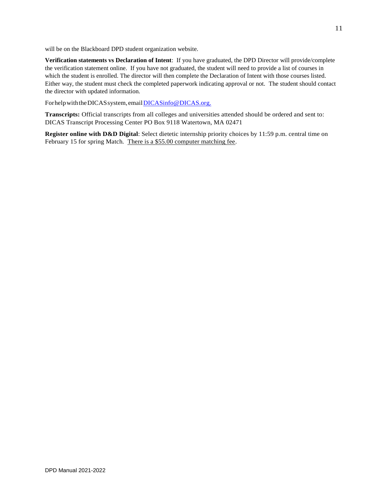will be on the Blackboard DPD student organization website.

**Verification statements vs Declaration of Intent**: If you have graduated, the DPD Director will provide/complete the verification statement online. If you have not graduated, the student will need to provide a list of courses in which the student is enrolled. The director will then complete the Declaration of Intent with those courses listed. Either way, the student must check the completed paperwork indicating approval or not. The student should contact the director with updated information.

For help with the DICAS system, email DICASinfo@DICAS.org.

**Transcripts:** Official transcripts from all colleges and universities attended should be ordered and sent to: DICAS Transcript Processing Center PO Box 9118 Watertown, MA 02471

**Register online with D&D Digital**: Select dietetic internship priority choices by 11:59 p.m. central time on February 15 for spring Match. There is a \$55.00 computer matching fee.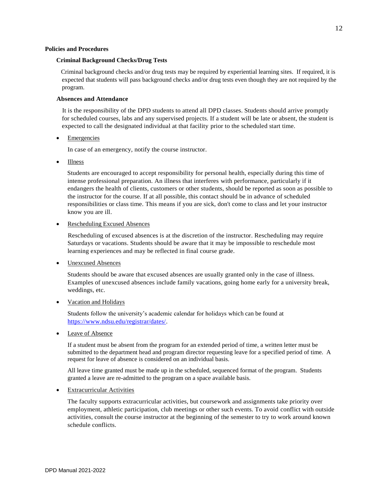## **Policies and Procedures**

## **Criminal Background Checks/Drug Tests**

Criminal background checks and/or drug tests may be required by experiential learning sites. If required, it is expected that students will pass background checks and/or drug tests even though they are not required by the program.

## **Absences and Attendance**

It is the responsibility of the DPD students to attend all DPD classes. Students should arrive promptly for scheduled courses, labs and any supervised projects. If a student will be late or absent, the student is expected to call the designated individual at that facility prior to the scheduled start time.

<span id="page-14-0"></span>**Emergencies** 

In case of an emergency, notify the course instructor.

• Illness

Students are encouraged to accept responsibility for personal health, especially during this time of intense professional preparation. An illness that interferes with performance, particularly if it endangers the health of clients, customers or other students, should be reported as soon as possible to the instructor for the course. If at all possible, this contact should be in advance of scheduled responsibilities or class time. This means if you are sick, don't come to class and let your instructor know you are ill.

Rescheduling Excused Absences

Rescheduling of excused absences is at the discretion of the instructor. Rescheduling may require Saturdays or vacations. Students should be aware that it may be impossible to reschedule most learning experiences and may be reflected in final course grade.

Unexcused Absences

Students should be aware that excused absences are usually granted only in the case of illness. Examples of unexcused absences include family vacations, going home early for a university break, weddings, etc.

• Vacation and Holidays

Students follow the university's academic calendar for holidays which can be found at [https://www.ndsu.edu/registrar/dates/.](https://www.ndsu.edu/registrar/dates/)

Leave of Absence

If a student must be absent from the program for an extended period of time, a written letter must be submitted to the department head and program director requesting leave for a specified period of time. A request for leave of absence is considered on an individual basis.

All leave time granted must be made up in the scheduled, sequenced format of the program. Students granted a leave are re-admitted to the program on a space available basis.

**Extracurricular Activities** 

The faculty supports extracurricular activities, but coursework and assignments take priority over employment, athletic participation, club meetings or other such events. To avoid conflict with outside activities, consult the course instructor at the beginning of the semester to try to work around known schedule conflicts.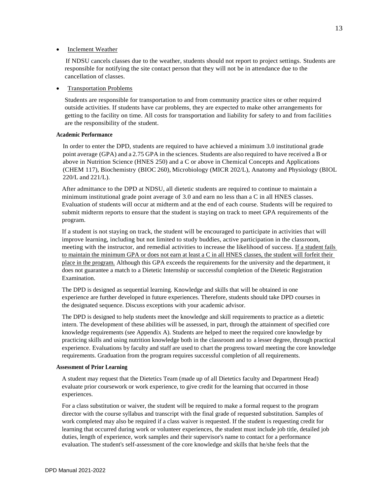## **Inclement Weather**

If NDSU cancels classes due to the weather, students should not report to project settings. Students are responsible for notifying the site contact person that they will not be in attendance due to the cancellation of classes.

## • Transportation Problems

Students are responsible for transportation to and from community practice sites or other required outside activities. If students have car problems, they are expected to make other arrangements for getting to the facility on time. All costs for transportation and liability for safety to and from facilities are the responsibility of the student.

# <span id="page-15-0"></span>**Academic Performance**

In order to enter the DPD, students are required to have achieved a minimum 3.0 institutional grade point average (GPA) and a 2.75 GPA in the sciences. Students are also required to have received a B or above in Nutrition Science (HNES 250) and a C or above in Chemical Concepts and Applications (CHEM 117), Biochemistry (BIOC 260), Microbiology (MICR 202/L), Anatomy and Physiology (BIOL 220/L and 221/L).

After admittance to the DPD at NDSU, all dietetic students are required to continue to maintain a minimum institutional grade point average of 3.0 and earn no less than a C in all HNES classes. Evaluation of students will occur at midterm and at the end of each course. Students will be required to submit midterm reports to ensure that the student is staying on track to meet GPA requirements of the program.

If a student is not staying on track, the student will be encouraged to participate in activities that will improve learning, including but not limited to study buddies, active participation in the classroom, meeting with the instructor, and remedial activities to increase the likelihood of success. If a student fails to maintain the minimum GPA or does not earn at least a C in all HNES classes, the student will forfeit their place in the program. Although this GPA exceeds the requirements for the university and the department, it does not guarantee a match to a Dietetic Internship or successful completion of the Dietetic Registration Examination.

The DPD is designed as sequential learning. Knowledge and skills that will be obtained in one experience are further developed in future experiences. Therefore, students should take DPD courses in the designated sequence. Discuss exceptions with your academic advisor.

The DPD is designed to help students meet the knowledge and skill requirements to practice as a dietetic intern. The development of these abilities will be assessed, in part, through the attainment of specified core knowledge requirements (see Appendix A). Students are helped to meet the required core knowledge by practicing skills and using nutrition knowledge both in the classroom and to a lesser degree, through practical experience. Evaluations by faculty and staff are used to chart the progress toward meeting the core knowledge requirements. Graduation from the program requires successful completion of all requirements.

#### <span id="page-15-1"></span>**Assessment of Prior Learning**

A student may request that the Dietetics Team (made up of all Dietetics faculty and Department Head) evaluate prior coursework or work experience, to give credit for the learning that occurred in those experiences.

For a class substitution or waiver, the student will be required to make a formal request to the program director with the course syllabus and transcript with the final grade of requested substitution. Samples of work completed may also be required if a class waiver is requested. If the student is requesting credit for learning that occurred during work or volunteer experiences, the student must include job title, detailed job duties, length of experience, work samples and their supervisor's name to contact for a performance evaluation. The student's self-assessment of the core knowledge and skills that he/she feels that the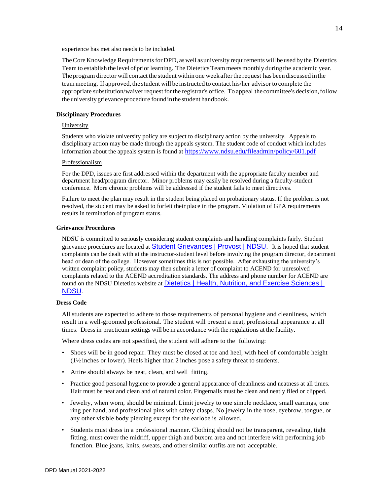experience has met also needs to be included.

The Core Knowledge Requirements for DPD, as well as university requirements will be used by the Dietetics Team to establish the level of prior learning. The Dietetics Team meets monthly during the academic year. The program director will contact the student within one week afterthe request has been discussed inthe team meeting. If approved, the student will be instructed to contact his/her advisor to complete the appropriate substitution/waiver request forthe registrar's office. To appeal the committee's decision,follow theuniversity grievance procedure foundinthe student handbook.

# <span id="page-16-0"></span>**Disciplinary Procedures**

# University

Students who violate university policy are subject to disciplinary action by the university. Appeals to disciplinary action may be made through the appeals system. The student code of conduct which includes information about the appeals system is found at <https://www.ndsu.edu/fileadmin/policy/601.pdf>

# Professionalism

For the DPD, issues are first addressed within the department with the appropriate faculty member and department head/program director. Minor problems may easily be resolved during a faculty-student conference. More chronic problems will be addressed if the student fails to meet directives.

Failure to meet the plan may result in the student being placed on probationary status. If the problem is not resolved, the student may be asked to forfeit their place in the program. Violation of GPA requirements results in termination of program status.

#### **Grievance Procedures**

NDSU is committed to seriously considering student complaints and handling complaints fairly. Student grievance procedures are located at [Student Grievances | Provost | NDSU.](https://www.ndsu.edu/provost/office/student_grievances/) It is hoped that student complaints can be dealt with at the instructor-student level before involving the program director, department head or dean of the college. However sometimes this is not possible. After exhausting the university's written complaint policy, students may then submit a letter of complaint to ACEND for unresolved complaints related to the ACEND accreditation standards. The address and phone number for ACEND are found on the NDSU Dietetics website at [Dietetics | Health, Nutrition,](https://www.ndsu.edu/hnes/undergraduate_programs/dietetics/) and Exercise Sciences | [NDSU.](https://www.ndsu.edu/hnes/undergraduate_programs/dietetics/)

# **Dress Code**

All students are expected to adhere to those requirements of personal hygiene and cleanliness, which result in a well-groomed professional. The student will present a neat, professional appearance at all times. Dressin practicum settings will be in accordance with the regulations at the facility.

Where dress codes are not specified, the student will adhere to the following:

- Shoes will be in good repair. They must be closed at toe and heel, with heel of comfortable height (1½ inches or lower). Heels higher than 2 inches pose a safety threat to students.
- Attire should always be neat, clean, and well fitting.
- Practice good personal hygiene to provide a general appearance of cleanliness and neatness at all times. Hair must be neat and clean and of natural color. Fingernails must be clean and neatly filed or clipped.
- Jewelry, when worn, should be minimal. Limit jewelry to one simple necklace, small earrings, one ring per hand, and professional pins with safety clasps. No jewelry in the nose, eyebrow, tongue, or any other visible body piercing except for the earlobe is allowed.
- Students must dress in a professional manner. Clothing should not be transparent, revealing, tight fitting, must cover the midriff, upper thigh and buxom area and not interfere with performing job function. Blue jeans, knits, sweats, and other similar outfits are not acceptable.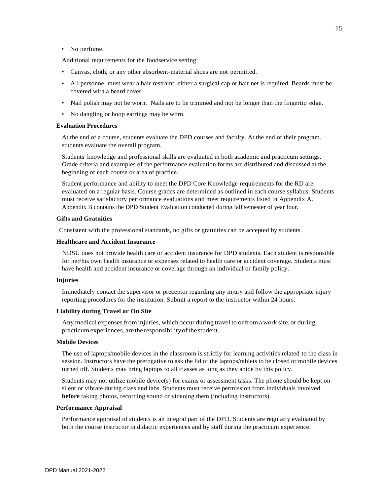## • No perfume.

Additional requirements for the foodservice setting:

- Canvas, cloth, or any other absorbent-material shoes are not permitted.
- All personnel must wear a hair restraint: either a surgical cap or hair net is required. Beards must be covered with a beard cover.
- Nail polish may not be worn. Nails are to be trimmed and not be longer than the fingertip edge.
- No dangling or hoop earrings may be worn.

# **Evaluation Procedures**

At the end of a course, students evaluate the DPD courses and faculty. At the end of their program, students evaluate the overall program.

Students' knowledge and professional skills are evaluated in both academic and practicum settings. Grade criteria and examples of the performance evaluation forms are distributed and discussed at the beginning of each course or area of practice.

Student performance and ability to meet the DPD Core Knowledge requirements for the RD are evaluated on a regular basis. Course grades are determined as outlined in each course syllabus. Students must receive satisfactory performance evaluations and meet requirements listed in Appendix A. Appendix B contains the DPD Student Evaluation conducted during fall semester of year four.

## **Gifts and Gratuities**

Consistent with the professional standards, no gifts or gratuities can be accepted by students.

# **Healthcare and Accident Insurance**

NDSU does not provide health care or accident insurance for DPD students. Each student is responsible for her/his own health insurance or expenses related to health care or accident coverage. Students must have health and accident insurance or coverage through an individual or family policy.

#### **Injuries**

Immediately contact the supervisor or preceptor regarding any injury and follow the appropriate injury reporting procedures for the institution. Submit a report to the instructor within 24 hours.

## **Liability during Travel or On Site**

Any medical expenses from injuries, which occur during travel to orfrom a work site, or during practicum experiences, are the responsibility of the student.

## **Mobile Devices**

The use of laptops/mobile devices in the classroom is strictly for learning activities related to the class in session. Instructors have the prerogative to ask the lid of the laptops/tablets to be closed or mobile devices turned off. Students may bring laptops to all classes as long as they abide by this policy.

Students may not utilize mobile device(s) for exams or assessment tasks. The phone should be kept on silent or vibrate during class and labs. Students must receive permission from individuals involved **before** taking photos, recording sound or videoing them (including instructors).

#### **Performance Appraisal**

Performance appraisal of students is an integral part of the DPD. Students are regularly evaluated by both the course instructor in didactic experiences and by staff during the practicum experience.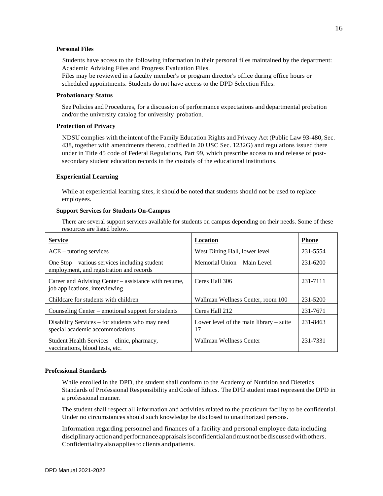## **Personal Files**

Students have access to the following information in their personal files maintained by the department: Academic Advising Files and Progress Evaluation Files.

Files may be reviewed in a faculty member's or program director's office during office hours or scheduled appointments. Students do not have access to the DPD Selection Files.

#### **Probationary Status**

See Policies and Procedures, for a discussion of performance expectations and departmental probation and/or the university catalog for university probation.

# **Protection of Privacy**

NDSU complies with the intent of the Family Education Rights and Privacy Act (Public Law 93-480, Sec. 438, together with amendments thereto, codified in 20 USC Sec. 1232G) and regulations issued there under in Title 45 code of Federal Regulations, Part 99, which prescribe access to and release of postsecondary student education records in the custody of the educational institutions.

## **Experiential Learning**

While at experiential learning sites, it should be noted that students should not be used to replace employees.

## **Support Services for Students On-Campus**

There are several support services available for students on campus depending on their needs. Some of these resources are listed below.

| <b>Service</b>                                                                              | Location                                        | <b>Phone</b> |
|---------------------------------------------------------------------------------------------|-------------------------------------------------|--------------|
| $ACE - tutoff$ services                                                                     | West Dining Hall, lower level                   | 231-5554     |
| One $Stop - various$ services including student<br>employment, and registration and records | Memorial Union – Main Level                     | 231-6200     |
| Career and Advising Center – assistance with resume,<br>job applications, interviewing      | Ceres Hall 306                                  | 231-7111     |
| Childcare for students with children                                                        | Wallman Wellness Center, room 100               | 231-5200     |
| Counseling Center – emotional support for students                                          | Ceres Hall 212                                  | 231-7671     |
| Disability Services – for students who may need<br>special academic accommodations          | Lower level of the main library $-$ suite<br>17 | 231-8463     |
| Student Health Services – clinic, pharmacy,<br>vaccinations, blood tests, etc.              | Wallman Wellness Center                         | 231-7331     |

#### **Professional Standards**

While enrolled in the DPD, the student shall conform to the Academy of Nutrition and Dietetics Standards of Professional Responsibility and Code of Ethics. The DPD student must represent the DPD in a professional manner.

The student shall respect all information and activities related to the practicum facility to be confidential. Under no circumstances should such knowledge be disclosed to unauthorized persons.

Information regarding personnel and finances of a facility and personal employee data including disciplinary actionandperformance appraisalsisconfidential andmustnot bediscussedwithothers. Confidentialityalsoappliesto clients andpatients.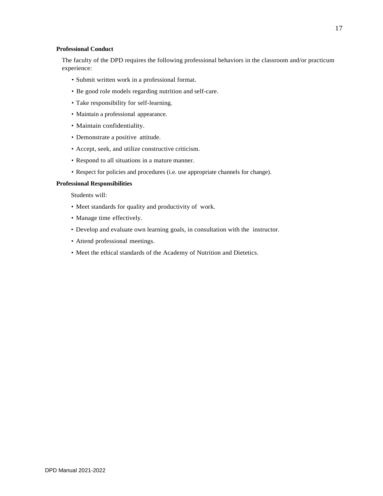# **Professional Conduct**

The faculty of the DPD requires the following professional behaviors in the classroom and/or practicum experience:

- Submit written work in a professional format.
- Be good role models regarding nutrition and self-care.
- Take responsibility for self-learning.
- Maintain a professional appearance.
- Maintain confidentiality.
- Demonstrate a positive attitude.
- Accept, seek, and utilize constructive criticism.
- Respond to all situations in a mature manner.
- Respect for policies and procedures (i.e. use appropriate channels for change).

# **Professional Responsibilities**

Students will:

- Meet standards for quality and productivity of work.
- Manage time effectively.
- Develop and evaluate own learning goals, in consultation with the instructor.
- Attend professional meetings.
- Meet the ethical standards of the Academy of Nutrition and Dietetics.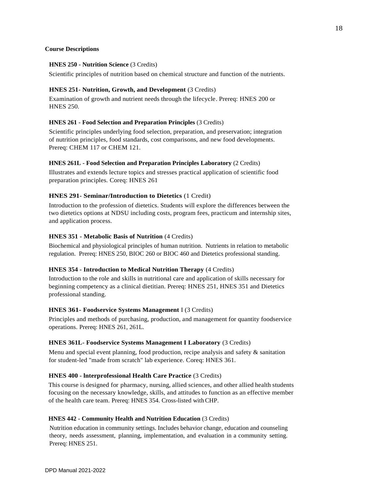# **Course Descriptions**

# **HNES 250 - Nutrition Science** (3 Credits)

Scientific principles of nutrition based on chemical structure and function of the nutrients.

# **HNES 251- Nutrition, Growth, and Development** (3 Credits)

Examination of growth and nutrient needs through the lifecycle. Prereq: HNES 200 or HNES 250.

# **HNES 261 - Food Selection and Preparation Principles** (3 Credits)

Scientific principles underlying food selection, preparation, and preservation; integration of nutrition principles, food standards, cost comparisons, and new food developments. Prereq: CHEM 117 or CHEM 121.

# **HNES 261L - Food Selection and Preparation Principles Laboratory** (2 Credits)

Illustrates and extends lecture topics and stresses practical application of scientific food preparation principles. Coreq: HNES 261

# **HNES 291- Seminar/Introduction to Dietetics** (1 Credit)

Introduction to the profession of dietetics. Students will explore the differences between the two dietetics options at NDSU including costs, program fees, practicum and internship sites, and application process.

# **HNES 351 - Metabolic Basis of Nutrition** (4 Credits)

Biochemical and physiological principles of human nutrition. Nutrients in relation to metabolic regulation. Prereq: HNES 250, BIOC 260 or BIOC 460 and Dietetics professional standing.

# **HNES 354 - Introduction to Medical Nutrition Therapy** (4 Credits)

Introduction to the role and skills in nutritional care and application of skills necessary for beginning competency as a clinical dietitian. Prereq: HNES 251, HNES 351 and Dietetics professional standing.

# **HNES 361- Foodservice Systems Management** I (3 Credits)

Principles and methods of purchasing, production, and management for quantity foodservice operations. Prereq: HNES 261, 261L.

# **HNES 361L- Foodservice Systems Management I Laboratory** (3 Credits)

Menu and special event planning, food production, recipe analysis and safety & sanitation for student-led "made from scratch" lab experience. Coreq: HNES 361.

# **HNES 400 - lnterprofessional Health Care Practice** (3 Credits)

This course is designed for pharmacy, nursing, allied sciences, and other allied health students focusing on the necessary knowledge, skills, and attitudes to function as an effective member of the health care team. Prereq: HNES 354. Cross-listed withCHP.

# **HNES 442 - Community Health and Nutrition Education** (3 Credits)

Nutrition education in community settings. Includes behavior change, education and counseling theory, needs assessment, planning, implementation, and evaluation in a community setting. Prereq: HNES 251.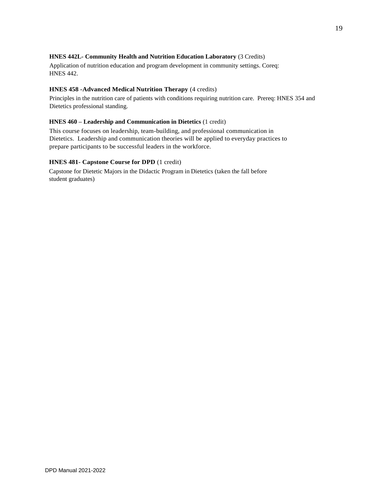# **HNES 442L- Community Health and Nutrition Education Laboratory** (3 Credits)

Application of nutrition education and program development in community settings. Coreq: HNES 442.

# **HNES 458 -Advanced Medical Nutrition Therapy** (4 credits)

Principles in the nutrition care of patients with conditions requiring nutrition care. Prereq: HNES 354 and Dietetics professional standing.

# **HNES 460 – Leadership and Communication in Dietetics** (1 credit)

This course focuses on leadership, team-building, and professional communication in Dietetics. Leadership and communication theories will be applied to everyday practices to prepare participants to be successful leaders in the workforce.

# **HNES 481- Capstone Course for DPD** (1 credit)

Capstone for Dietetic Majors in the Didactic Program in Dietetics (taken the fall before student graduates)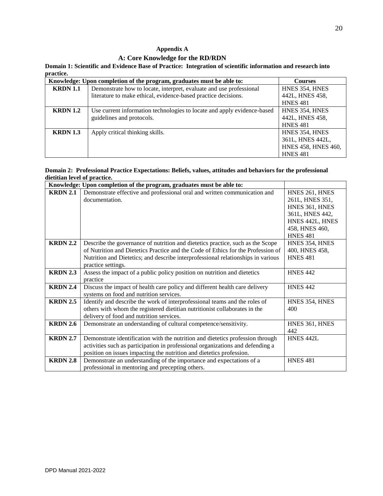# **Appendix A**

# **A: Core Knowledge for the RD/RDN**

**Domain 1: Scientific and Evidence Base of Practice: Integration of scientific information and research into practice.**

|                 | Knowledge: Upon completion of the program, graduates must be able to:   | <b>Courses</b>      |
|-----------------|-------------------------------------------------------------------------|---------------------|
| <b>KRDN</b> 1.1 | Demonstrate how to locate, interpret, evaluate and use professional     | HNES 354, HNES      |
|                 | literature to make ethical, evidence-based practice decisions.          | 442L, HNES 458,     |
|                 |                                                                         | <b>HNES 481</b>     |
| <b>KRDN</b> 1.2 | Use current information technologies to locate and apply evidence-based | HNES 354, HNES      |
|                 | guidelines and protocols.                                               | 442L, HNES 458,     |
|                 |                                                                         | <b>HNES 481</b>     |
| <b>KRDN</b> 1.3 | Apply critical thinking skills.                                         | HNES 354, HNES      |
|                 |                                                                         | 361L, HNES 442L,    |
|                 |                                                                         | HNES 458, HNES 460, |
|                 |                                                                         | <b>HNES 481</b>     |

# **Domain 2: Professional Practice Expectations: Beliefs, values, attitudes and behaviors for the professional dietitian level of practice.**

|                 | Knowledge: Upon completion of the program, graduates must be able to:            |                 |
|-----------------|----------------------------------------------------------------------------------|-----------------|
| <b>KRDN 2.1</b> | Demonstrate effective and professional oral and written communication and        | HNES 261, HNES  |
|                 | documentation.                                                                   | 261L, HNES 351, |
|                 |                                                                                  | HNES 361, HNES  |
|                 |                                                                                  | 361L, HNES 442, |
|                 |                                                                                  | HNES 442L, HNES |
|                 |                                                                                  | 458, HNES 460,  |
|                 |                                                                                  | <b>HNES 481</b> |
| <b>KRDN 2.2</b> | Describe the governance of nutrition and dietetics practice, such as the Scope   | HNES 354, HNES  |
|                 | of Nutrition and Dietetics Practice and the Code of Ethics for the Profession of | 400, HNES 458,  |
|                 | Nutrition and Dietetics; and describe interprofessional relationships in various | <b>HNES 481</b> |
|                 | practice settings.                                                               |                 |
| <b>KRDN 2.3</b> | Assess the impact of a public policy position on nutrition and dietetics         | <b>HNES 442</b> |
|                 | practice                                                                         |                 |
| <b>KRDN 2.4</b> | Discuss the impact of health care policy and different health care delivery      | <b>HNES 442</b> |
|                 | systems on food and nutrition services.                                          |                 |
| <b>KRDN 2.5</b> | Identify and describe the work of interprofessional teams and the roles of       | HNES 354, HNES  |
|                 | others with whom the registered dietitian nutritionist collaborates in the       | 400             |
|                 | delivery of food and nutrition services.                                         |                 |
| <b>KRDN 2.6</b> | Demonstrate an understanding of cultural competence/sensitivity.                 | HNES 361, HNES  |
|                 |                                                                                  | 442             |
| <b>KRDN 2.7</b> | Demonstrate identification with the nutrition and dietetics profession through   | HNES 442L       |
|                 | activities such as participation in professional organizations and defending a   |                 |
|                 | position on issues impacting the nutrition and dietetics profession.             |                 |
| <b>KRDN 2.8</b> | Demonstrate an understanding of the importance and expectations of a             | <b>HNES 481</b> |
|                 | professional in mentoring and precepting others.                                 |                 |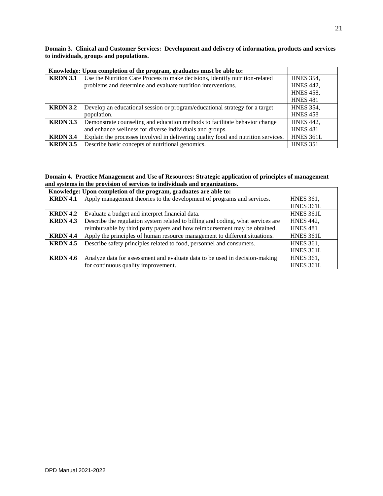**Domain 3. Clinical and Customer Services: Development and delivery of information, products and services to individuals, groups and populations.** 

|                 | Knowledge: Upon completion of the program, graduates must be able to:             |                  |
|-----------------|-----------------------------------------------------------------------------------|------------------|
| <b>KRDN 3.1</b> | Use the Nutrition Care Process to make decisions, identify nutrition-related      | <b>HNES 354,</b> |
|                 | problems and determine and evaluate nutrition interventions.                      | <b>HNES 442,</b> |
|                 |                                                                                   | <b>HNES 458,</b> |
|                 |                                                                                   | <b>HNES 481</b>  |
| <b>KRDN 3.2</b> | Develop an educational session or program/educational strategy for a target       | <b>HNES 354,</b> |
|                 | population.                                                                       | <b>HNES 458</b>  |
| <b>KRDN 3.3</b> | Demonstrate counseling and education methods to facilitate behavior change        | <b>HNES 442,</b> |
|                 | and enhance wellness for diverse individuals and groups.                          | <b>HNES 481</b>  |
| <b>KRDN</b> 3.4 | Explain the processes involved in delivering quality food and nutrition services. | HNES 361L        |
| <b>KRDN 3.5</b> | Describe basic concepts of nutritional genomics.                                  | <b>HNES 351</b>  |

# **Domain 4. Practice Management and Use of Resources: Strategic application of principles of management and systems in the provision of services to individuals and organizations.**

|                 | Knowledge: Upon completion of the program, graduates are able to:               |                  |
|-----------------|---------------------------------------------------------------------------------|------------------|
| <b>KRDN 4.1</b> | Apply management theories to the development of programs and services.          | <b>HNES 361,</b> |
|                 |                                                                                 | HNES 361L        |
| <b>KRDN</b> 4.2 | Evaluate a budget and interpret financial data.                                 | HNES 361L        |
| <b>KRDN</b> 4.3 | Describe the regulation system related to billing and coding, what services are | <b>HNES 442,</b> |
|                 | reimbursable by third party payers and how reimbursement may be obtained.       | <b>HNES 481</b>  |
| <b>KRDN</b> 4.4 | Apply the principles of human resource management to different situations.      | HNES 361L        |
| <b>KRDN 4.5</b> | Describe safety principles related to food, personnel and consumers.            | <b>HNES 361,</b> |
|                 |                                                                                 | HNES 361L        |
| <b>KRDN</b> 4.6 | Analyze data for assessment and evaluate data to be used in decision-making     | <b>HNES 361,</b> |
|                 | for continuous quality improvement.                                             | <b>HNES 361L</b> |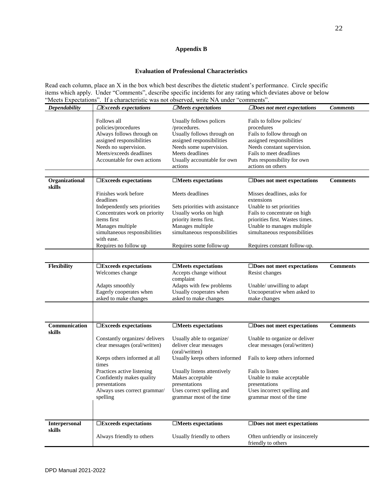# **Appendix B**

# **Evaluation of Professional Characteristics**

Read each column, place an X in the box which best describes the dietetic student's performance. Circle specific items which apply. Under "Comments", describe specific incidents for any rating which deviates above or below "Meets Expectations". If a characteristic was not observed, write NA under "comments".

| <b>Dependability</b>           | $\Box$ Exceeds expectations           | $\Box$ Meets expectations                | $\Box$ Does not meet expectations                     | <b>Comments</b> |
|--------------------------------|---------------------------------------|------------------------------------------|-------------------------------------------------------|-----------------|
|                                |                                       |                                          |                                                       |                 |
|                                | Follows all                           | Usually follows polices                  | Fails to follow policies/                             |                 |
|                                | policies/procedures                   | /procedures.                             | procedures                                            |                 |
|                                | Always follows through on             | Usually follows through on               | Fails to follow through on                            |                 |
|                                | assigned responsibilities             | assigned responsibilities                | assigned responsibilities                             |                 |
|                                | Needs no supervision.                 | Needs some supervision.                  | Needs constant supervision.                           |                 |
|                                | Meets/exceeds deadlines               | Meets deadlines                          | Fails to meet deadlines                               |                 |
|                                | Accountable for own actions           | Usually accountable for own              | Puts responsibility for own                           |                 |
|                                |                                       | actions                                  | actions on others                                     |                 |
| Organizational                 | $\square$ Exceeds expectations        | $\square$ Meets expectations             | $\square$ Does not meet expectations                  | <b>Comments</b> |
| skills                         |                                       |                                          |                                                       |                 |
|                                | Finishes work before                  | Meets deadlines                          | Misses deadlines, asks for                            |                 |
|                                | deadlines                             |                                          | extensions                                            |                 |
|                                | Independently sets priorities         | Sets priorities with assistance          | Unable to set priorities                              |                 |
|                                | Concentrates work on priority         | Usually works on high                    | Fails to concentrate on high                          |                 |
|                                | items first                           | priority items first.                    | priorities first. Wastes times.                       |                 |
|                                | Manages multiple                      | Manages multiple                         | Unable to manages multiple                            |                 |
|                                | simultaneous responsibilities         | simultaneous responsibilities            | simultaneous responsibilities                         |                 |
|                                | with ease.<br>Requires no follow up   | Requires some follow-up                  | Requires constant follow-up.                          |                 |
|                                |                                       |                                          |                                                       |                 |
|                                |                                       |                                          |                                                       |                 |
| Flexibility                    | $\square$ Exceeds expectations        | $\Box$ Meets expectations                | $\square$ Does not meet expectations                  | <b>Comments</b> |
|                                | Welcomes change                       | Accepts change without<br>complaint      | Resist changes                                        |                 |
|                                | Adapts smoothly                       | Adapts with few problems                 | Unable/ unwilling to adapt                            |                 |
|                                | Eagerly cooperates when               | Usually cooperates when                  | Uncooperative when asked to                           |                 |
|                                | asked to make changes                 | asked to make changes                    | make changes                                          |                 |
|                                |                                       |                                          |                                                       |                 |
| Communication<br>skills        | $\square$ Exceeds expectations        | $\square$ Meets expectations             | $\square$ Does not meet expectations                  | <b>Comments</b> |
|                                | Constantly organizes/ delivers        | Usually able to organize/                | Unable to organize or deliver                         |                 |
|                                | clear messages (oral/written)         | deliver clear messages<br>(oral/written) | clear messages (oral/written)                         |                 |
|                                | Keeps others informed at all<br>times | Usually keeps others informed            | Fails to keep others informed                         |                 |
|                                | Practices active listening            | Usually listens attentively              | Fails to listen                                       |                 |
|                                | Confidently makes quality             | Makes acceptable                         | Unable to make acceptable                             |                 |
|                                | presentations                         | presentations                            | presentations                                         |                 |
|                                | Always uses correct grammar/          | Uses correct spelling and                | Uses incorrect spelling and                           |                 |
|                                | spelling                              | grammar most of the time                 | grammar most of the time                              |                 |
|                                |                                       |                                          |                                                       |                 |
|                                |                                       |                                          |                                                       |                 |
| <b>Interpersonal</b><br>skills | $\square$ Exceeds expectations        | $\square$ Meets expectations             | $\square$ Does not meet expectations                  |                 |
|                                | Always friendly to others             | Usually friendly to others               | Often unfriendly or insincerely<br>friendly to others |                 |